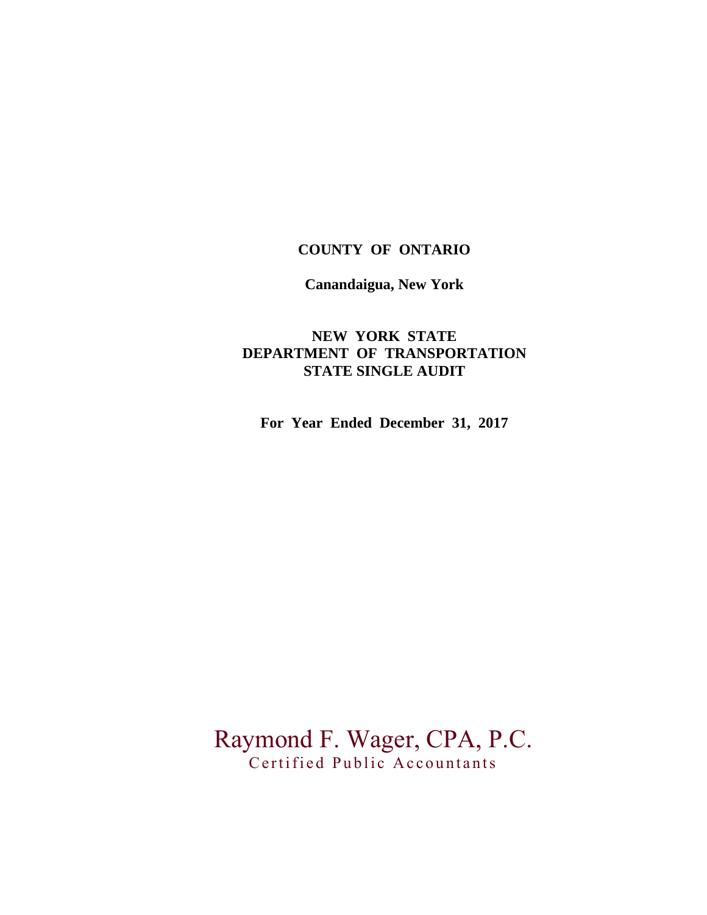# **COUNTY OF ONTARIO**

**Canandaigua, New York**

# **NEW YORK STATE DEPARTMENT OF TRANSPORTATION STATE SINGLE AUDIT**

**For Year Ended December 31, 2017**

Raymond F. Wager, CPA, P.C. Certified Public Accountants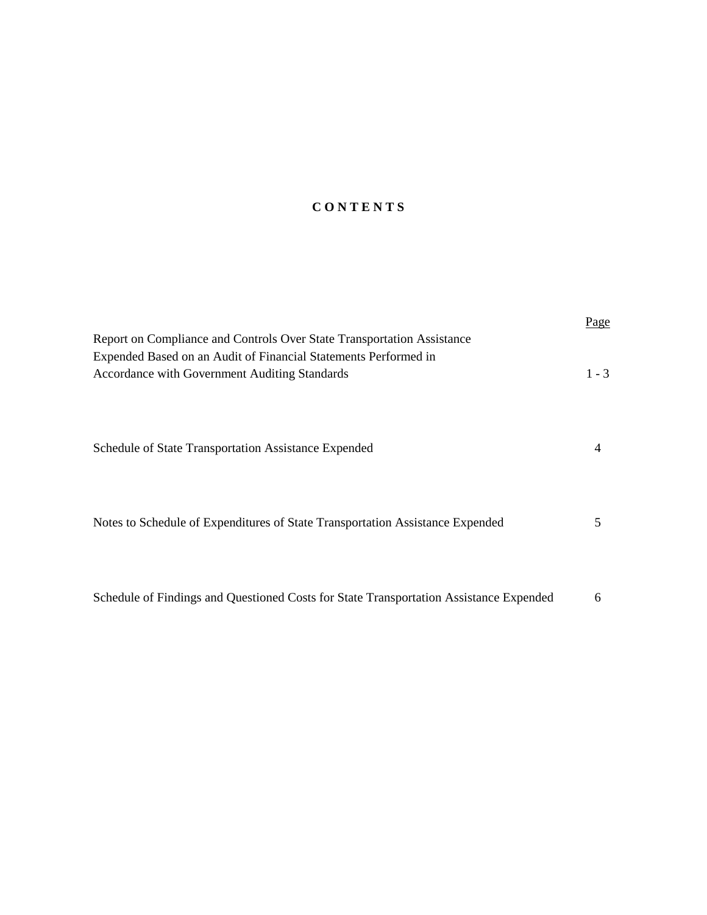# **C O N T E N T S**

| Report on Compliance and Controls Over State Transportation Assistance                                           | Page    |
|------------------------------------------------------------------------------------------------------------------|---------|
| Expended Based on an Audit of Financial Statements Performed in<br>Accordance with Government Auditing Standards | $1 - 3$ |
| Schedule of State Transportation Assistance Expended                                                             | 4       |
| Notes to Schedule of Expenditures of State Transportation Assistance Expended                                    | 5       |
| Schedule of Findings and Questioned Costs for State Transportation Assistance Expended                           | 6       |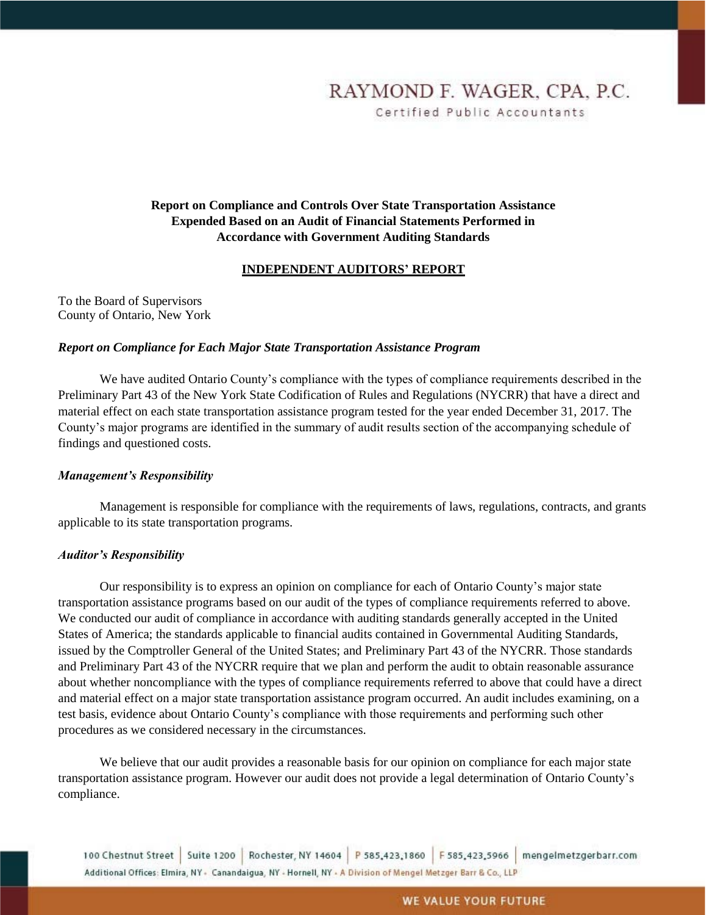# RAYMOND F. WAGER, CPA, P.C.

Certified Public Accountants

### **Report on Compliance and Controls Over State Transportation Assistance Expended Based on an Audit of Financial Statements Performed in Accordance with Government Auditing Standards**

#### **INDEPENDENT AUDITORS' REPORT**

To the Board of Supervisors County of Ontario, New York

#### *Report on Compliance for Each Major State Transportation Assistance Program*

We have audited Ontario County's compliance with the types of compliance requirements described in the Preliminary Part 43 of the New York State Codification of Rules and Regulations (NYCRR) that have a direct and material effect on each state transportation assistance program tested for the year ended December 31, 2017. The County's major programs are identified in the summary of audit results section of the accompanying schedule of findings and questioned costs.

#### *Management's Responsibility*

Management is responsible for compliance with the requirements of laws, regulations, contracts, and grants applicable to its state transportation programs.

#### *Auditor's Responsibility*

Our responsibility is to express an opinion on compliance for each of Ontario County's major state transportation assistance programs based on our audit of the types of compliance requirements referred to above. We conducted our audit of compliance in accordance with auditing standards generally accepted in the United States of America; the standards applicable to financial audits contained in Governmental Auditing Standards, issued by the Comptroller General of the United States; and Preliminary Part 43 of the NYCRR. Those standards and Preliminary Part 43 of the NYCRR require that we plan and perform the audit to obtain reasonable assurance about whether noncompliance with the types of compliance requirements referred to above that could have a direct and material effect on a major state transportation assistance program occurred. An audit includes examining, on a test basis, evidence about Ontario County's compliance with those requirements and performing such other procedures as we considered necessary in the circumstances.

We believe that our audit provides a reasonable basis for our opinion on compliance for each major state transportation assistance program. However our audit does not provide a legal determination of Ontario County's compliance.

100 Chestnut Street | Suite 1200 | Rochester, NY 14604 | P 585,423,1860 | F 585,423,5966 | mengelmetzgerbarr.com Additional Offices: Elmira, NY - Canandaigua, NY - Hornell, NY - A Division of Mengel Metzger Barr & Co., LLP

#### **WE VALUE YOUR FUTURE**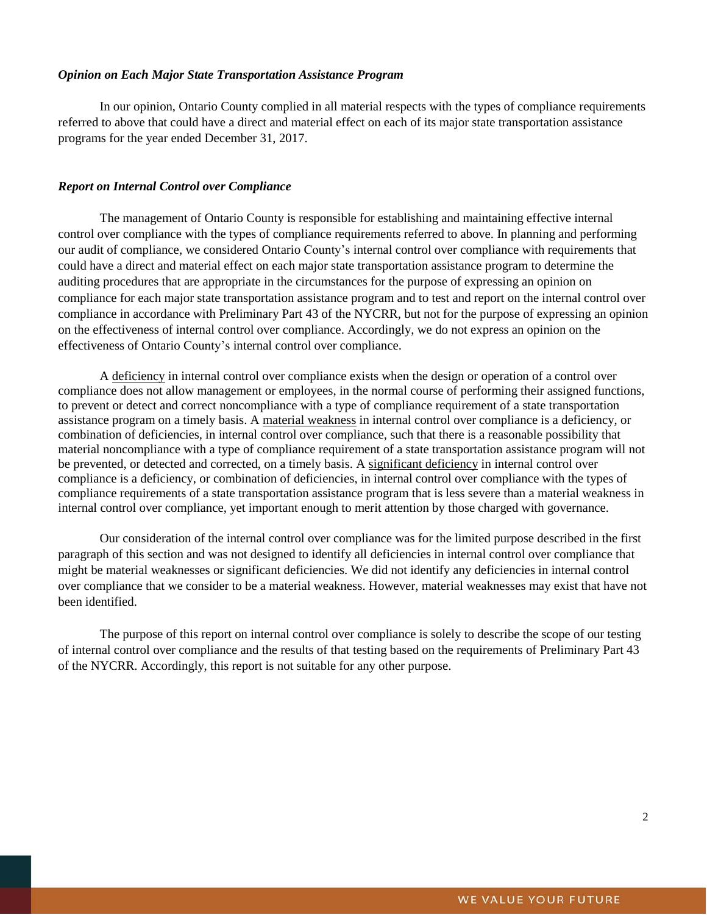#### *Opinion on Each Major State Transportation Assistance Program*

In our opinion, Ontario County complied in all material respects with the types of compliance requirements referred to above that could have a direct and material effect on each of its major state transportation assistance programs for the year ended December 31, 2017.

#### *Report on Internal Control over Compliance*

The management of Ontario County is responsible for establishing and maintaining effective internal control over compliance with the types of compliance requirements referred to above. In planning and performing our audit of compliance, we considered Ontario County's internal control over compliance with requirements that could have a direct and material effect on each major state transportation assistance program to determine the auditing procedures that are appropriate in the circumstances for the purpose of expressing an opinion on compliance for each major state transportation assistance program and to test and report on the internal control over compliance in accordance with Preliminary Part 43 of the NYCRR, but not for the purpose of expressing an opinion on the effectiveness of internal control over compliance. Accordingly, we do not express an opinion on the effectiveness of Ontario County's internal control over compliance.

A deficiency in internal control over compliance exists when the design or operation of a control over compliance does not allow management or employees, in the normal course of performing their assigned functions, to prevent or detect and correct noncompliance with a type of compliance requirement of a state transportation assistance program on a timely basis. A material weakness in internal control over compliance is a deficiency, or combination of deficiencies, in internal control over compliance, such that there is a reasonable possibility that material noncompliance with a type of compliance requirement of a state transportation assistance program will not be prevented, or detected and corrected, on a timely basis. A significant deficiency in internal control over compliance is a deficiency, or combination of deficiencies, in internal control over compliance with the types of compliance requirements of a state transportation assistance program that is less severe than a material weakness in internal control over compliance, yet important enough to merit attention by those charged with governance.

Our consideration of the internal control over compliance was for the limited purpose described in the first paragraph of this section and was not designed to identify all deficiencies in internal control over compliance that might be material weaknesses or significant deficiencies. We did not identify any deficiencies in internal control over compliance that we consider to be a material weakness. However, material weaknesses may exist that have not been identified.

The purpose of this report on internal control over compliance is solely to describe the scope of our testing of internal control over compliance and the results of that testing based on the requirements of Preliminary Part 43 of the NYCRR. Accordingly, this report is not suitable for any other purpose.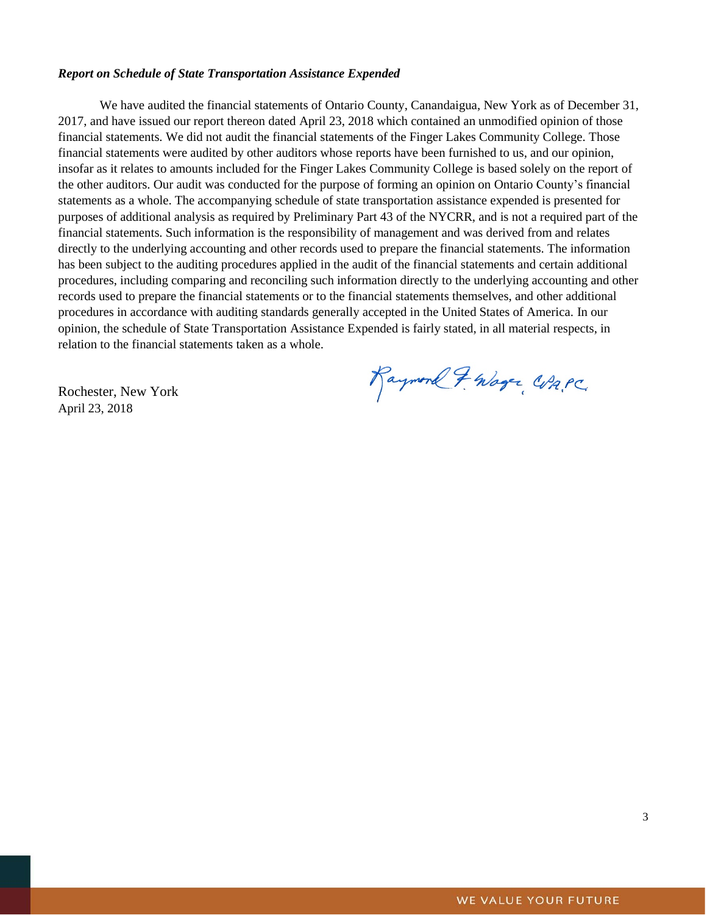#### *Report on Schedule of State Transportation Assistance Expended*

We have audited the financial statements of Ontario County, Canandaigua, New York as of December 31, 2017, and have issued our report thereon dated April 23, 2018 which contained an unmodified opinion of those financial statements. We did not audit the financial statements of the Finger Lakes Community College. Those financial statements were audited by other auditors whose reports have been furnished to us, and our opinion, insofar as it relates to amounts included for the Finger Lakes Community College is based solely on the report of the other auditors. Our audit was conducted for the purpose of forming an opinion on Ontario County's financial statements as a whole. The accompanying schedule of state transportation assistance expended is presented for purposes of additional analysis as required by Preliminary Part 43 of the NYCRR, and is not a required part of the financial statements. Such information is the responsibility of management and was derived from and relates directly to the underlying accounting and other records used to prepare the financial statements. The information has been subject to the auditing procedures applied in the audit of the financial statements and certain additional procedures, including comparing and reconciling such information directly to the underlying accounting and other records used to prepare the financial statements or to the financial statements themselves, and other additional procedures in accordance with auditing standards generally accepted in the United States of America. In our opinion, the schedule of State Transportation Assistance Expended is fairly stated, in all material respects, in relation to the financial statements taken as a whole.

Rochester, New York April 23, 2018

Raymond F. Wager WA.PC.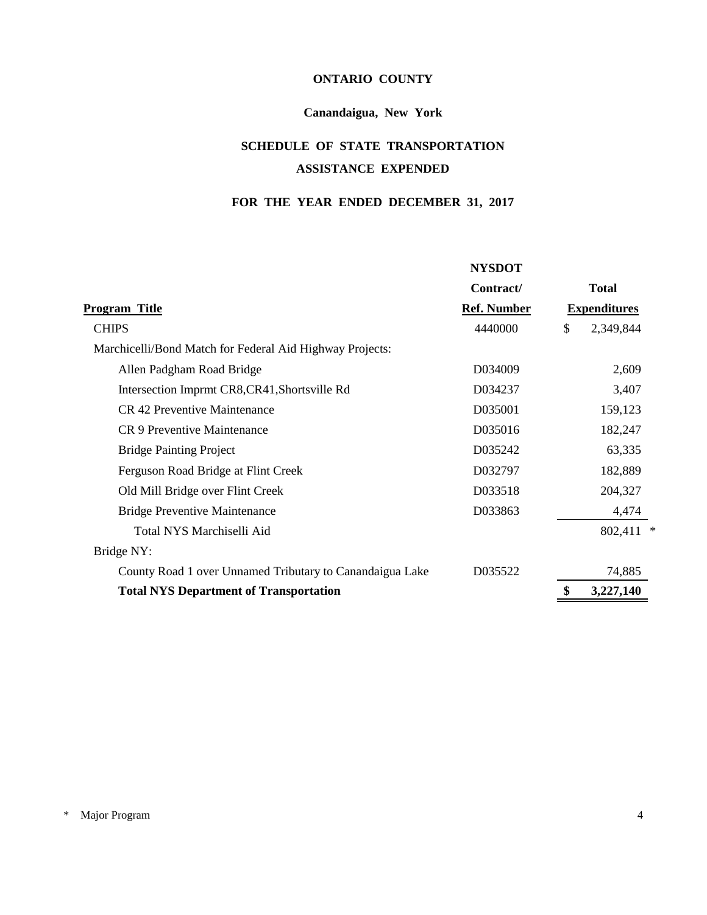# **ONTARIO COUNTY**

# **Canandaigua, New York**

# **SCHEDULE OF STATE TRANSPORTATION ASSISTANCE EXPENDED**

# **FOR THE YEAR ENDED DECEMBER 31, 2017**

|                                                          | <b>NYSDOT</b>      |                     |  |
|----------------------------------------------------------|--------------------|---------------------|--|
|                                                          | Contract/          | <b>Total</b>        |  |
| Program Title                                            | <b>Ref. Number</b> | <b>Expenditures</b> |  |
| <b>CHIPS</b>                                             | 4440000            | \$<br>2,349,844     |  |
| Marchicelli/Bond Match for Federal Aid Highway Projects: |                    |                     |  |
| Allen Padgham Road Bridge                                | D034009            | 2,609               |  |
| Intersection Imprmt CR8,CR41,Shortsville Rd              | D034237            | 3,407               |  |
| <b>CR 42 Preventive Maintenance</b>                      | D035001            | 159,123             |  |
| <b>CR 9 Preventive Maintenance</b>                       | D035016            | 182,247             |  |
| <b>Bridge Painting Project</b>                           | D035242            | 63,335              |  |
| Ferguson Road Bridge at Flint Creek                      | D032797            | 182,889             |  |
| Old Mill Bridge over Flint Creek                         | D033518            | 204,327             |  |
| <b>Bridge Preventive Maintenance</b>                     | D033863            | 4,474               |  |
| Total NYS Marchiselli Aid                                |                    | 802,411             |  |
| Bridge NY:                                               |                    |                     |  |
| County Road 1 over Unnamed Tributary to Canandaigua Lake | D035522            | 74,885              |  |
| <b>Total NYS Department of Transportation</b>            |                    | 3,227,140           |  |
|                                                          |                    |                     |  |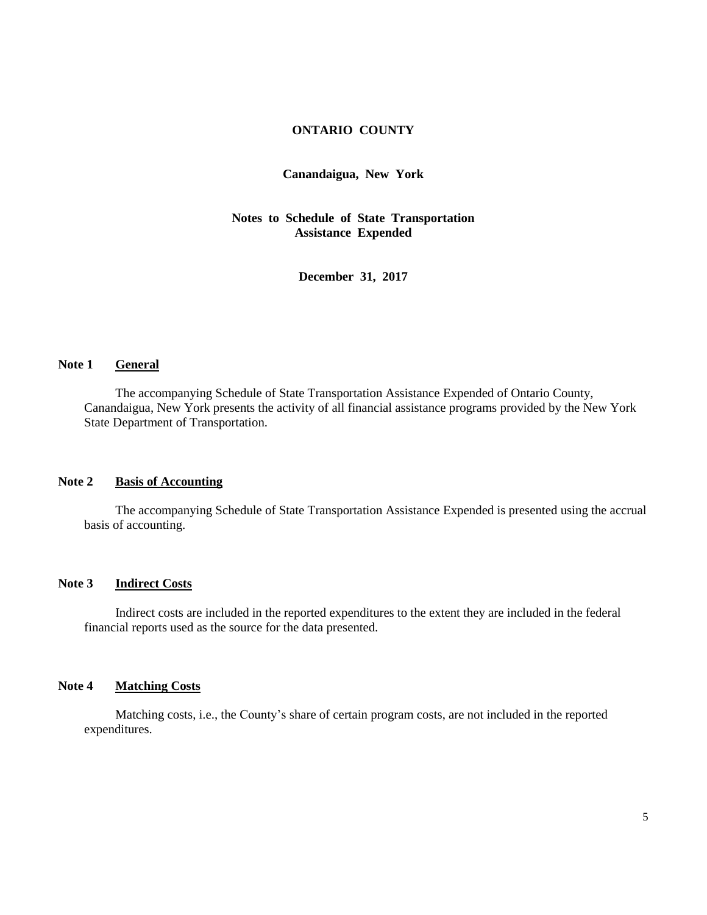#### **ONTARIO COUNTY**

**Canandaigua, New York**

**Notes to Schedule of State Transportation Assistance Expended**

**December 31, 2017**

#### **Note 1 General**

The accompanying Schedule of State Transportation Assistance Expended of Ontario County, Canandaigua, New York presents the activity of all financial assistance programs provided by the New York State Department of Transportation.

#### **Note 2 Basis of Accounting**

The accompanying Schedule of State Transportation Assistance Expended is presented using the accrual basis of accounting.

#### **Note 3 Indirect Costs**

Indirect costs are included in the reported expenditures to the extent they are included in the federal financial reports used as the source for the data presented.

#### **Note 4 Matching Costs**

Matching costs, i.e., the County's share of certain program costs, are not included in the reported expenditures.